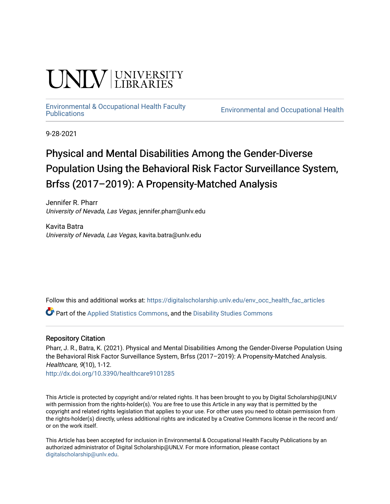# **UNIVERSITY**

# [Environmental & Occupational Health Faculty](https://digitalscholarship.unlv.edu/env_occ_health_fac_articles)

**Environmental and Occupational Health** 

9-28-2021

## Physical and Mental Disabilities Among the Gender-Diverse Population Using the Behavioral Risk Factor Surveillance System, Brfss (2017–2019): A Propensity-Matched Analysis

Jennifer R. Pharr University of Nevada, Las Vegas, jennifer.pharr@unlv.edu

Kavita Batra University of Nevada, Las Vegas, kavita.batra@unlv.edu

Follow this and additional works at: [https://digitalscholarship.unlv.edu/env\\_occ\\_health\\_fac\\_articles](https://digitalscholarship.unlv.edu/env_occ_health_fac_articles?utm_source=digitalscholarship.unlv.edu%2Fenv_occ_health_fac_articles%2F688&utm_medium=PDF&utm_campaign=PDFCoverPages) 

Part of the [Applied Statistics Commons](http://network.bepress.com/hgg/discipline/209?utm_source=digitalscholarship.unlv.edu%2Fenv_occ_health_fac_articles%2F688&utm_medium=PDF&utm_campaign=PDFCoverPages), and the [Disability Studies Commons](http://network.bepress.com/hgg/discipline/1417?utm_source=digitalscholarship.unlv.edu%2Fenv_occ_health_fac_articles%2F688&utm_medium=PDF&utm_campaign=PDFCoverPages)

#### Repository Citation

Pharr, J. R., Batra, K. (2021). Physical and Mental Disabilities Among the Gender-Diverse Population Using the Behavioral Risk Factor Surveillance System, Brfss (2017–2019): A Propensity-Matched Analysis. Healthcare, 9(10), 1-12.

<http://dx.doi.org/10.3390/healthcare9101285>

This Article is protected by copyright and/or related rights. It has been brought to you by Digital Scholarship@UNLV with permission from the rights-holder(s). You are free to use this Article in any way that is permitted by the copyright and related rights legislation that applies to your use. For other uses you need to obtain permission from the rights-holder(s) directly, unless additional rights are indicated by a Creative Commons license in the record and/ or on the work itself.

This Article has been accepted for inclusion in Environmental & Occupational Health Faculty Publications by an authorized administrator of Digital Scholarship@UNLV. For more information, please contact [digitalscholarship@unlv.edu](mailto:digitalscholarship@unlv.edu).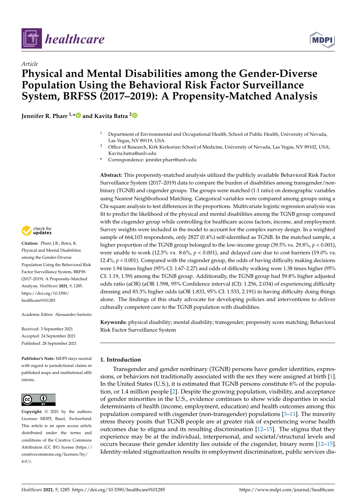

*Article*



### **Physical and Mental Disabilities among the Gender-Diverse Population Using the Behavioral Risk Factor Surveillance System, BRFSS (2017–2019): A Propensity-Matched Analysis**

**Jennifer R. Pharr 1,[\\*](https://orcid.org/0000-0002-0383-2641) and Kavita Batra [2](https://orcid.org/0000-0002-0722-0191)**

- <sup>1</sup> Department of Environmental and Occupational Health, School of Public Health, University of Nevada, Las Vegas, NV 89119, USA
- <sup>2</sup> Office of Research, Kirk Kerkorian School of Medicine, University of Nevada, Las Vegas, NV 89102, USA; Kavita.batra@unlv.edu
- **\*** Correspondence: jennifer.pharr@unlv.edu

**Abstract:** This propensity-matched analysis utilized the publicly available Behavioral Risk Factor Surveillance System (2017–2019) data to compare the burden of disabilities among transgender/nonbinary (TGNB) and cisgender groups. The groups were matched (1:1 ratio) on demographic variables using Nearest Neighborhood Matching. Categorical variables were compared among groups using a Chi-square analysis to test differences in the proportions. Multivariate logistic regression analysis was fit to predict the likelihood of the physical and mental disabilities among the TGNB group compared with the cisgender group while controlling for healthcare access factors, income, and employment. Survey weights were included in the model to account for the complex survey design. In a weighted sample of 664,103 respondents, only 2827 (0.4%) self-identified as TGNB. In the matched sample, a higher proportion of the TGNB group belonged to the low-income group (39.5% vs. 29.8%,  $p < 0.001$ ), were unable to work (12.5% vs.  $8.6\%$ ,  $p < 0.001$ ), and delayed care due to cost barriers (19.0% vs. 12.4%,  $p < 0.001$ ). Compared with the cisgender group, the odds of having difficulty making decisions were 1.94 times higher (95% CI: 1.67–2.27) and odds of difficulty walking were 1.38 times higher (95% CI: 1.19, 1.59) among the TGNB group. Additionally, the TGNB group had 59.8% higher adjusted odds ratio (aOR) (aOR 1.598, 95% Confidence interval (CI): 1.256, 2.034) of experiencing difficulty dressing and 83.3% higher odds (aOR 1.833, 95% CI: 1.533, 2.191) in having difficulty doing things alone. The findings of this study advocate for developing policies and interventions to deliver culturally competent care to the TGNB population with disabilities.

**Keywords:** physical disability; mental disability; transgender; propensity score matching; Behavioral Risk Factor Surveillance System

#### **1. Introduction**

Transgender and gender nonbinary (TGNB) persons have gender identities, expressions, or behaviors not traditionally associated with the sex they were assigned at birth [\[1\]](#page-10-0). In the United States (U.S.), it is estimated that TGNB persons constitute 6% of the population, or 1.4 million people [\[2\]](#page-10-1). Despite the growing population, visibility, and acceptance of gender minorities in the U.S., evidence continues to show wide disparities in social determinants of health (income, employment, education) and health outcomes among this population compared with cisgender (non-transgender) populations [\[3](#page-10-2)[–11\]](#page-11-0). The minority stress theory posits that TGNB people are at greater risk of experiencing worse health outcomes due to stigma and its resulting discrimination  $[12-15]$  $[12-15]$ . The stigma that they experience may be at the individual, interpersonal, and societal/structural levels and occurs because their gender identity lies outside of the cisgender, binary norm [\[12](#page-11-1)[–15\]](#page-11-2). Identity-related stigmatization results in employment discrimination, public services dis-



**Citation:** Pharr, J.R.; Batra, K. Physical and Mental Disabilities among the Gender-Diverse Population Using the Behavioral Risk Factor Surveillance System, BRFSS (2017–2019): A Propensity-Matched Analysis. *Healthcare* **2021**, *9*, 1285. [https://doi.org/10.3390/](https://doi.org/10.3390/healthcare9101285) [healthcare9101285](https://doi.org/10.3390/healthcare9101285)

Academic Editor: Alessandro Sartorio

Received: 3 September 2021 Accepted: 24 September 2021 Published: 28 September 2021

**Publisher's Note:** MDPI stays neutral with regard to jurisdictional claims in published maps and institutional affiliations.



**Copyright:** © 2021 by the authors. Licensee MDPI, Basel, Switzerland. This article is an open access article distributed under the terms and conditions of the Creative Commons Attribution (CC BY) license (https:/[/](https://creativecommons.org/licenses/by/4.0/) [creativecommons.org/licenses/by/](https://creativecommons.org/licenses/by/4.0/)  $4.0/$ ).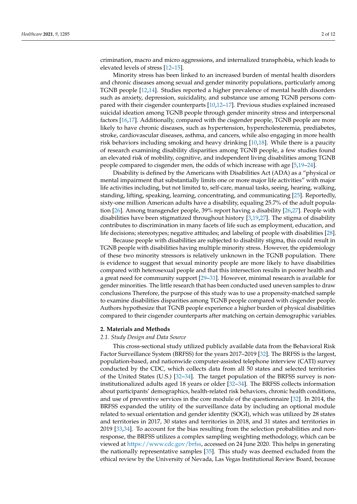crimination, macro and micro aggressions, and internalized transphobia, which leads to elevated levels of stress [\[12](#page-11-1)[–15\]](#page-11-2).

Minority stress has been linked to an increased burden of mental health disorders and chronic diseases among sexual and gender minority populations, particularly among TGNB people [\[12,](#page-11-1)[14\]](#page-11-3). Studies reported a higher prevalence of mental health disorders such as anxiety, depression, suicidality, and substance use among TGNB persons compared with their cisgender counterparts [\[10](#page-10-3)[,12](#page-11-1)[–17\]](#page-11-4). Previous studies explained increased suicidal ideation among TGNB people through gender minority stress and interpersonal factors [\[16](#page-11-5)[,17\]](#page-11-4). Additionally, compared with the cisgender people, TGNB people are more likely to have chronic diseases, such as hypertension, hypercholesteremia, prediabetes, stroke, cardiovascular diseases, asthma, and cancers, while also engaging in more health risk behaviors including smoking and heavy drinking [\[10,](#page-10-3)[18\]](#page-11-6). While there is a paucity of research examining disability disparities among TGNB people, a few studies found an elevated risk of mobility, cognitive, and independent living disabilities among TGNB people compared to cisgender men, the odds of which increase with age [\[5,](#page-10-4)[19–](#page-11-7)[24\]](#page-11-8).

Disability is defined by the Americans with Disabilities Act (ADA) as a "physical or mental impairment that substantially limits one or more major life activities" with major life activities including, but not limited to, self-care, manual tasks, seeing, hearing, walking, standing, lifting, speaking, learning, concentrating, and communicating [\[25\]](#page-11-9). Reportedly, sixty-one million American adults have a disability, equaling 25.7% of the adult population [\[26\]](#page-11-10). Among transgender people, 39% report having a disability [\[26](#page-11-10)[,27\]](#page-11-11). People with disabilities have been stigmatized throughout history [\[3](#page-10-2)[,19](#page-11-7)[,27\]](#page-11-11). The stigma of disability contributes to discrimination in many facets of life such as employment, education, and life decisions; stereotypes; negative attitudes; and labeling of people with disabilities [\[28\]](#page-11-12).

Because people with disabilities are subjected to disability stigma, this could result in TGNB people with disabilities having multiple minority stress. However, the epidemiology of these two minority stressors is relatively unknown in the TGNB population. There is evidence to suggest that sexual minority people are more likely to have disabilities compared with heterosexual people and that this intersection results in poorer health and a great need for community support [\[29–](#page-11-13)[31\]](#page-11-14). However, minimal research is available for gender minorities. The little research that has been conducted used uneven samples to draw conclusions Therefore, the purpose of this study was to use a propensity-matched sample to examine disabilities disparities among TGNB people compared with cisgender people. Authors hypothesize that TGNB people experience a higher burden of physical disabilities compared to their cisgender counterparts after matching on certain demographic variables.

#### **2. Materials and Methods**

#### *2.1. Study Design and Data Source*

This cross-sectional study utilized publicly available data from the Behavioral Risk Factor Surveillance System (BRFSS) for the years 2017–2019 [\[32\]](#page-11-15). The BRFSS is the largest, population-based, and nationwide computer-assisted telephone interview (CATI) survey conducted by the CDC, which collects data from all 50 states and selected territories of the United States (U.S.) [\[32](#page-11-15)[–34\]](#page-11-16). The target population of the BRFSS survey is noninstitutionalized adults aged 18 years or older [\[32](#page-11-15)[–34\]](#page-11-16). The BRFSS collects information about participants' demographics, health-related risk behaviors, chronic health conditions, and use of preventive services in the core module of the questionnaire [\[32\]](#page-11-15). In 2014, the BRFSS expanded the utility of the surveillance data by including an optional module related to sexual orientation and gender identity (SOGI), which was utilized by 28 states and territories in 2017, 30 states and territories in 2018, and 31 states and territories in 2019 [\[33,](#page-11-17)[34\]](#page-11-16). To account for the bias resulting from the selection probabilities and nonresponse, the BRFSS utilizes a complex sampling weighting methodology, which can be viewed at [https://www.cdc.gov/brfss,](https://www.cdc.gov/brfss) accessed on 24 June 2020. This helps in generating the nationally representative samples [\[35\]](#page-11-18). This study was deemed excluded from the ethical review by the University of Nevada, Las Vegas Institutional Review Board, because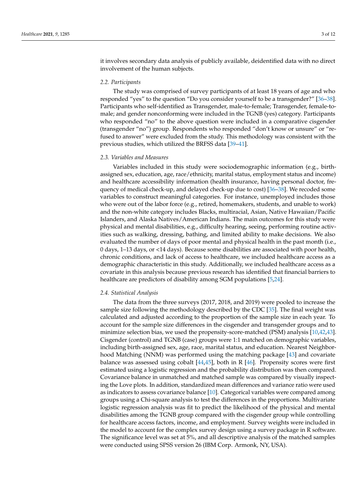it involves secondary data analysis of publicly available, deidentified data with no direct involvement of the human subjects.

#### *2.2. Participants*

The study was comprised of survey participants of at least 18 years of age and who responded "yes" to the question "Do you consider yourself to be a transgender?" [\[36](#page-11-19)[–38\]](#page-12-0). Participants who self-identified as Transgender, male-to-female; Transgender, female-tomale; and gender nonconforming were included in the TGNB (yes) category. Participants who responded "no" to the above question were included in a comparative cisgender (transgender "no") group. Respondents who responded "don't know or unsure" or "refused to answer" were excluded from the study. This methodology was consistent with the previous studies, which utilized the BRFSS data [\[39](#page-12-1)[–41\]](#page-12-2).

#### *2.3. Variables and Measures*

Variables included in this study were sociodemographic information (e.g., birthassigned sex, education, age, race/ethnicity, marital status, employment status and income) and healthcare accessibility information (health insurance, having personal doctor, frequency of medical check-up, and delayed check-up due to cost) [\[36](#page-11-19)[–38\]](#page-12-0). We recoded some variables to construct meaningful categories. For instance, unemployed includes those who were out of the labor force (e.g., retired, homemakers, students, and unable to work) and the non-white category includes Blacks, multiracial, Asian, Native Hawaiian/Pacific Islanders, and Alaska Natives/American Indians. The main outcomes for this study were physical and mental disabilities, e.g., difficulty hearing, seeing, performing routine activities such as walking, dressing, bathing, and limited ability to make decisions. We also evaluated the number of days of poor mental and physical health in the past month (i.e., 0 days, 1–13 days, or <14 days). Because some disabilities are associated with poor health, chronic conditions, and lack of access to healthcare, we included healthcare access as a demographic characteristic in this study. Additionally, we included healthcare access as a covariate in this analysis because previous research has identified that financial barriers to healthcare are predictors of disability among SGM populations [\[5](#page-10-4)[,24\]](#page-11-8).

#### *2.4. Statistical Analysis*

The data from the three surveys (2017, 2018, and 2019) were pooled to increase the sample size following the methodology described by the CDC [\[35\]](#page-11-18). The final weight was calculated and adjusted according to the proportion of the sample size in each year. To account for the sample size differences in the cisgender and transgender groups and to minimize selection bias, we used the propensity-score-matched (PSM) analysis [\[10,](#page-10-3)[42](#page-12-3)[,43\]](#page-12-4). Cisgender (control) and TGNB (case) groups were 1:1 matched on demographic variables, including birth-assigned sex, age, race, marital status, and education. Nearest Neighborhood Matching (NNM) was performed using the matching package [\[43\]](#page-12-4) and covariate balance was assessed using cobalt  $[44,45]$  $[44,45]$ , both in R  $[46]$ . Propensity scores were first estimated using a logistic regression and the probability distribution was then compared. Covariance balance in unmatched and matched sample was compared by visually inspecting the Love plots. In addition, standardized mean differences and variance ratio were used as indicators to assess covariance balance [\[10\]](#page-10-3). Categorical variables were compared among groups using a Chi-square analysis to test the differences in the proportions. Multivariate logistic regression analysis was fit to predict the likelihood of the physical and mental disabilities among the TGNB group compared with the cisgender group while controlling for healthcare access factors, income, and employment. Survey weights were included in the model to account for the complex survey design using a survey package in R software. The significance level was set at 5%, and all descriptive analysis of the matched samples were conducted using SPSS version 26 (IBM Corp. Armonk, NY, USA).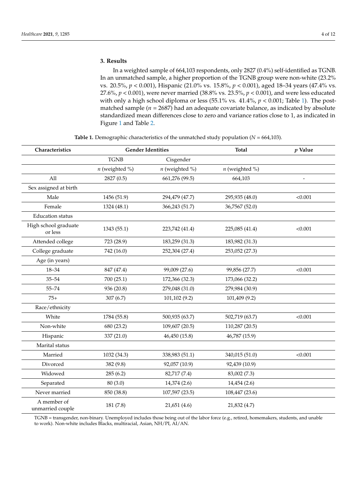#### **3. Results**

In a weighted sample of 664,103 respondents, only 2827 (0.4%) self-identified as TGNB. In an unmatched sample, a higher proportion of the TGNB group were non-white (23.2% vs. 20.5%, *p* < 0.001), Hispanic (21.0% vs. 15.8%, *p* < 0.001), aged 18–34 years (47.4% vs. 27.6%, *p* < 0.001), were never married (38.8% vs. 23.5%, *p* < 0.001), and were less educated with only a high school diploma or less (55.1% vs. 41.4%, *p* < 0.001; Table [1\)](#page-4-0). The postmatched sample ( $n = 2687$ ) had an adequate covariate balance, as indicated by absolute standardized mean differences close to zero and variance ratios close to 1, as indicated in Figure [1](#page-5-0) and Table [2.](#page-5-1)

<span id="page-4-0"></span>

| Characteristics                 | <b>Gender Identities</b> |                  | <b>Total</b>       | $p$ Value |
|---------------------------------|--------------------------|------------------|--------------------|-----------|
|                                 | <b>TGNB</b>              | Cisgender        |                    |           |
|                                 | $n$ (weighted %)         | $n$ (weighted %) | $n$ (weighted $\%$ |           |
| All                             | 2827 (0.5)               | 661,276 (99.5)   | 664,103            |           |
| Sex assigned at birth           |                          |                  |                    |           |
| Male                            | 1456 (51.9)              | 294,479 (47.7)   | 295,935 (48.0)     | < 0.001   |
| Female                          | 1324 (48.1)              | 366,243 (51.7)   | 36,7567 (52.0)     |           |
| <b>Education</b> status         |                          |                  |                    |           |
| High school graduate<br>or less | 1343 (55.1)              | 223,742 (41.4)   | 225,085 (41.4)     | < 0.001   |
| Attended college                | 723 (28.9)               | 183,259 (31.3)   | 183,982 (31.3)     |           |
| College graduate                | 742 (16.0)               | 252,304 (27.4)   | 253,052 (27.3)     |           |
| Age (in years)                  |                          |                  |                    |           |
| 18-34                           | 847 (47.4)               | 99,009 (27.6)    | 99,856 (27.7)      | < 0.001   |
| $35 - 54$                       | 700 (25.1)               | 172,366 (32.3)   | 173,066 (32.2)     |           |
| $55 - 74$                       | 936 (20.8)               | 279,048 (31.0)   | 279,984 (30.9)     |           |
| $75+$                           | 307(6.7)                 | 101,102 (9.2)    | 101,409 (9.2)      |           |
| Race/ethnicity                  |                          |                  |                    |           |
| White                           | 1784 (55.8)              | 500,935 (63.7)   | 502,719 (63.7)     | < 0.001   |
| Non-white                       | 680 (23.2)               | 109,607 (20.5)   | 110,287 (20.5)     |           |
| Hispanic                        | 337 (21.0)               | 46,450 (15.8)    | 46,787 (15.9)      |           |
| Marital status                  |                          |                  |                    |           |
| Married                         | 1032 (34.3)              | 338,983 (51.1)   | 340,015 (51.0)     | < 0.001   |
| Divorced                        | 382 (9.8)                | 92,057 (10.9)    | 92,439 (10.9)      |           |
| Widowed                         | 285(6.2)                 | 82,717 (7.4)     | 83,002 (7.3)       |           |
| Separated                       | 80 (3.0)                 | 14,374 (2.6)     | 14,454 (2.6)       |           |
| Never married                   | 850 (38.8)               | 107,597 (23.5)   | 108,447 (23.6)     |           |
| A member of<br>unmarried couple | 181 (7.8)                | 21,651 (4.6)     | 21,832 (4.7)       |           |

**Table 1.** Demographic characteristics of the unmatched study population ( $N = 664,103$ ).

TGNB = transgender, non-binary. Unemployed includes those being out of the labor force (e.g., retired, homemakers, students, and unable to work). Non-white includes Blacks, multiracial, Asian, NH/PI, AI/AN.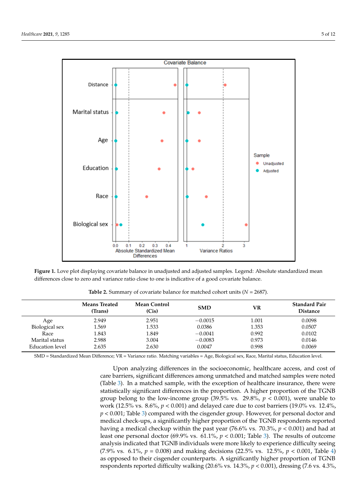

<span id="page-5-0"></span>SMD = Standardized Mean Difference; VR = Variance ratio. Matching variables = Age, Biological sex, Race, Marital status,

Figure 1. Love plot displaying covariate balance in unadjusted and adjusted samples. Legend: Absolute standardized mean  $s$  does to zero and variance ratio close to one is indicative of a good covariate balance differences close to zero and variance ratio close to one is indicative of a good covariate balance.<br>

<span id="page-5-1"></span>

|                 | <b>Means Treated</b><br>(Trans) | <b>Mean Control</b><br>(Cis) | <b>SMD</b> | VR    | <b>Standard Pair</b><br><b>Distance</b> |
|-----------------|---------------------------------|------------------------------|------------|-------|-----------------------------------------|
| Age             | 2.949                           | 2.951                        | $-0.0015$  | 1.001 | 0.0098                                  |
| Biological sex  | 1.569                           | 1.533                        | 0.0386     | 1.353 | 0.0507                                  |
| Race            | 1.843                           | 1.849                        | $-0.0041$  | 0.992 | 0.0102                                  |
| Marital status  | 2.988                           | 3.004                        | $-0.0083$  | 0.973 | 0.0146                                  |
| Education level | 2.635                           | 2.630                        | 0.0047     | 0.998 | 0.0069                                  |

**Table 2.** Summary of covariate balance for matched cohort units (*N* = 2687).

SMD = Standardized Mean Difference; VR = Variance ratio. Matching variables = Age, Biological sex, Race, Marital status, Education level.<br>.

Upon analyzing differences in the socioeconomic, healthcare access, and cost of care barriers, significant differences among unmatched and matched samples were noted (Table 3). In a matched sample, with the exception of healthcare insurance, there were statistically significant differences in the proportion. A higher proportion of the TGNB group belong to the low-income group  $(39.5\% \text{ vs. } 29.8\%, p < 0.001)$ , were unable to work (12.5% vs. 8.6%, *p* < 0.001) and delayed care due to cost barriers (19.0% vs. 12.4%, *p* < 0.001; Table [3\)](#page-6-0) compared with the cisgender group. However, for personal doctor and medical check-ups, a significantly higher proportion of the TGNB respondents reported having a medical checkup within the past year (76.6% vs. 70.3%, *p* < 0.001) and had at least one personal doctor  $(69.9\% \text{ vs. } 61.1\%, p < 0.001$ ; Table [3\)](#page-6-0). The results of outcome analysis indicated that TGNB individuals were more likely to experience difficulty seeing (7.9% vs. 6.1%, *p* = 0.008) and making decisions (22.5% vs. 12.5%, *p* < 0.001, Table [4\)](#page-7-0) as opposed to their cisgender counterparts. A significantly higher proportion of TGNB respondents reported difficulty walking (20.6% vs. 14.3%, *p* < 0.001), dressing (7.6 vs. 4.3%,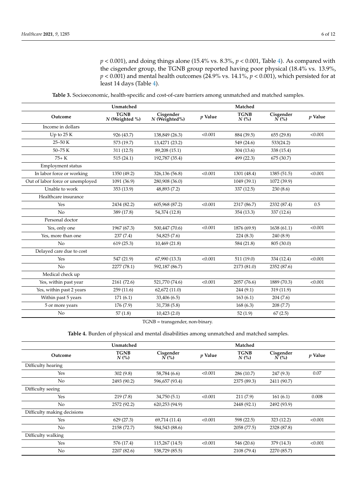*p* < 0.001), and doing things alone (15.4% vs. 8.3%, *p* < 0.001, Table [4\)](#page-7-0). As compared with the cisgender group, the TGNB group reported having poor physical (18.4% vs. 13.9%,  $p < 0.001$ ) and mental health outcomes (24.9% vs. 14.1%,  $p < 0.001$ ), which persisted for at least 14 days (Table [4\)](#page-7-0).

**Table 3.** Socioeconomic, health-specific and cost-of-care barriers among unmatched and matched samples.

<span id="page-6-0"></span>

|                                  | Unmatched                       |                                                                            |           | Matched             |                      |           |
|----------------------------------|---------------------------------|----------------------------------------------------------------------------|-----------|---------------------|----------------------|-----------|
| Outcome                          | <b>TGNB</b><br>$N$ (Weighted %) | $\begin{array}{c} \textbf{Cigender}\\ N \textbf{(Weighted\%)} \end{array}$ | $p$ Value | <b>TGNB</b><br>N(%) | Cisgender<br>$N$ (%) | $p$ Value |
| Income in dollars                |                                 |                                                                            |           |                     |                      |           |
| Up to 25 K                       | 926 (43.7)                      | 138,849 (26.3)                                                             | < 0.001   | 884 (39.5)          | 655(29.8)            | < 0.001   |
| $25 - 50K$                       | 573 (19.7)                      | 13,4271 (23.2)                                                             |           | 549 (24.6)          | 533(24.2)            |           |
| $50 - 75K$                       | 311(12.5)                       | 89,208 (15.1)                                                              |           | 304 (13.6)          | 338 (15.4)           |           |
| $75+K$                           | 515(24.1)                       | 192,787 (35.4)                                                             |           | 499 (22.3)          | 675 (30.7)           |           |
| Employment status                |                                 |                                                                            |           |                     |                      |           |
| In labor force or working        | 1350 (49.2)                     | 326,136 (56.8)                                                             | < 0.001   | 1301 (48.4)         | 1385 (51.5)          | < 0.001   |
| Out of labor force or unemployed | 1091 (36.9)                     | 280,908 (36.0)                                                             |           | 1049 (39.1)         | 1072 (39.9)          |           |
| Unable to work                   | 353 (13.9)                      | 48,893 (7.2)                                                               |           | 337 (12.5)          | 230(8.6)             |           |
| Healthcare insurance             |                                 |                                                                            |           |                     |                      |           |
| Yes                              | 2434 (82.2)                     | 605,968 (87.2)                                                             | < 0.001   | 2317 (86.7)         | 2332 (87.4)          | 0.5       |
| No                               | 389 (17.8)                      | 54,374 (12.8)                                                              |           | 354 (13.3)          | 337 (12.6)           |           |
| Personal doctor                  |                                 |                                                                            |           |                     |                      |           |
| Yes, only one                    | 1967 (67.3)                     | 500,447 (70.6)                                                             | < 0.001   | 1876 (69.9)         | 1638(61.1)           | < 0.001   |
| Yes, more than one               | 237(7.4)                        | 54,825 (7.6)                                                               |           | 224(8.3)            | 240 (8.9)            |           |
| No                               | 619(25.3)                       | 10,469 (21.8)                                                              |           | 584 (21.8)          | 805 (30.0)           |           |
| Delayed care due to cost         |                                 |                                                                            |           |                     |                      |           |
| Yes                              | 547 (21.9)                      | 67,990 (13.3)                                                              | < 0.001   | 511(19.0)           | 334 (12.4)           | < 0.001   |
| No                               | 2277 (78.1)                     | 592,187 (86.7)                                                             |           | 2173 (81.0)         | 2352 (87.6)          |           |
| Medical check up                 |                                 |                                                                            |           |                     |                      |           |
| Yes, within past year            | 2161 (72.6)                     | 521,770 (74.6)                                                             | < 0.001   | 2057 (76.6)         | 1889 (70.3)          | < 0.001   |
| Yes, within past 2 years         | 259(11.6)                       | 62,672 (11.0)                                                              |           | 244(9.1)            | 319 (11.9)           |           |
| Within past 5 years              | 171(6.1)                        | 33,406 (6.5)                                                               |           | 163(6.1)            | 204(7.6)             |           |
| 5 or more years                  | 176 (7.9)                       | 31,738 (5.8)                                                               |           | 168(6.3)            | 208(7.7)             |           |
| N <sub>o</sub>                   | 57(1.8)                         | 10,423(2.0)                                                                |           | 52(1.9)             | 67(2.5)              |           |

TGNB = transgender, non-binary.

**Table 4.** Burden of physical and mental disabilities among unmatched and matched samples.

|                             | Unmatched              |                              |           | Matched                |                                |           |
|-----------------------------|------------------------|------------------------------|-----------|------------------------|--------------------------------|-----------|
| Outcome                     | <b>TGNB</b><br>$N$ (%) | Cisgender<br>$\tilde{N}$ (%) | $p$ Value | <b>TGNB</b><br>$N$ (%) | Cisgender<br>$\overline{N}(%)$ | $p$ Value |
| Difficulty hearing          |                        |                              |           |                        |                                |           |
| Yes                         | 302(9.8)               | 58,784 (6.6)                 | < 0.001   | 286 (10.7)             | 247(9.3)                       | 0.07      |
| No.                         | 2493 (90.2)            | 596,657 (93.4)               |           | 2375 (89.3)            | 2411 (90.7)                    |           |
| Difficulty seeing           |                        |                              |           |                        |                                |           |
| Yes                         | 219(7.8)               | 34,750(5.1)                  | < 0.001   | 211(7.9)               | 161(6.1)                       | 0.008     |
| No                          | 2572 (92.2)            | 620,253 (94.9)               |           | 2448 (92.1)            | 2492 (93.9)                    |           |
| Difficulty making decisions |                        |                              |           |                        |                                |           |
| Yes                         | 629(27.3)              | 69,714 (11.4)                | < 0.001   | 598 (22.5)             | 323 (12.2)                     | < 0.001   |
| No                          | 2158 (72.7)            | 584,543 (88.6)               |           | 2058 (77.5)            | 2328 (87.8)                    |           |
| Difficulty walking          |                        |                              |           |                        |                                |           |
| Yes                         | 576 (17.4)             | 115,267 (14.5)               | < 0.001   | 546 (20.6)             | 379 (14.3)                     | < 0.001   |
| No.                         | 2207 (82.6)            | 538,729 (85.5)               |           | 2108 (79.4)            | 2270 (85.7)                    |           |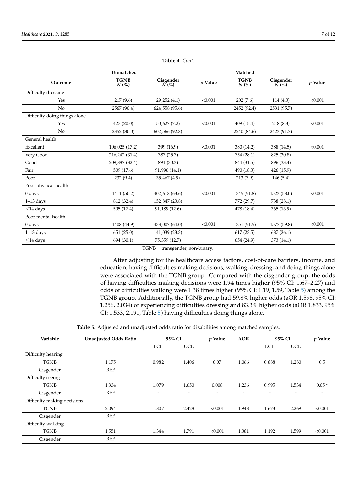<span id="page-7-0"></span>

|                               | Unmatched              |                                |           | Matched                |                                |           |
|-------------------------------|------------------------|--------------------------------|-----------|------------------------|--------------------------------|-----------|
| Outcome                       | <b>TGNB</b><br>$N$ (%) | Cisgender<br>$\overline{N}(%)$ | $p$ Value | <b>TGNB</b><br>$N$ (%) | Cisgender<br>$\overline{N}(%)$ | $p$ Value |
| Difficulty dressing           |                        |                                |           |                        |                                |           |
| Yes                           | 217(9.6)               | 29,252 (4.1)                   | < 0.001   | 202(7.6)               | 114(4.3)                       | < 0.001   |
| No                            | 2567 (90.4)            | 624,558 (95.6)                 |           | 2452 (92.4)            | 2531 (95.7)                    |           |
| Difficulty doing things alone |                        |                                |           |                        |                                |           |
| Yes                           | 427(20.0)              | 50,627 (7.2)                   | < 0.001   | 409(15.4)              | 218(8.3)                       | < 0.001   |
| No                            | 2352 (80.0)            | 602,566 (92.8)                 |           | 2240 (84.6)            | 2423 (91.7)                    |           |
| General health                |                        |                                |           |                        |                                |           |
| Excellent                     | 106,025 (17.2)         | 399 (16.9)                     | < 0.001   | 380 (14.2)             | 388 (14.5)                     | < 0.001   |
| Very Good                     | 216,242 (31.4)         | 787 (25.7)                     |           | 754 (28.1)             | 825 (30.8)                     |           |
| Good                          | 209,887 (32.4)         | 891 (30.3)                     |           | 844 (31.5)             | 896 (33.4)                     |           |
| Fair                          | 509 (17.6)             | 91,996 (14.1)                  |           | 490 (18.3)             | 426 (15.9)                     |           |
| Poor                          | 232(9.4)               | 35,467 (4.9)                   |           | 213(7.9)               | 146(5.4)                       |           |
| Poor physical health          |                        |                                |           |                        |                                |           |
| $0$ days                      | 1411 (50.2)            | 402,618 (63.6)                 | < 0.001   | 1345 (51.8)            | 1523 (58.0)                    | < 0.001   |
| $1-13$ days                   | 812 (32.4)             | 152,847 (23.8)                 |           | 772 (29.7)             | 738 (28.1)                     |           |
| $<$ 14 days                   | 505 (17.4)             | 91,189 (12.6)                  |           | 478 (18.4)             | 365(13.9)                      |           |
| Poor mental health            |                        |                                |           |                        |                                |           |
| $0 \, \text{days}$            | 1408 (44.9)            | 433,007 (64.0)                 | < 0.001   | 1351 (51.5)            | 1577 (59.8)                    | < 0.001   |
| $1-13$ days                   | 651(25.0)              | 141,039 (23.3)                 |           | 617(23.5)              | 687(26.1)                      |           |
| $<$ 14 days                   | 694 (30.1)             | 75,359 (12.7)                  |           | 654 (24.9)             | 373 (14.1)                     |           |

**Table 4.** *Cont.*

TGNB = transgender, non-binary.

After adjusting for the healthcare access factors, cost-of-care barriers, income, and education, having difficulties making decisions, walking, dressing, and doing things alone were associated with the TGNB group. Compared with the cisgender group, the odds of having difficulties making decisions were 1.94 times higher (95% CI: 1.67–2.27) and odds of difficulties walking were 1.38 times higher (95% CI: 1.19, 1.59, Table [5\)](#page-8-0) among the TGNB group. Additionally, the TGNB group had 59.8% higher odds (aOR 1.598, 95% CI: 1.256, 2.034) of experiencing difficulties dressing and 83.3% higher odds (aOR 1.833, 95% CI: 1.533, 2.191, Table [5\)](#page-8-0) having difficulties doing things alone.

**Table 5.** Adjusted and unadjusted odds ratio for disabilities among matched samples.

| Variable                    | <b>Unadjusted Odds Ratio</b> | 95% CI                   |                          | p Value                      | <b>AOR</b> | 95% CI                   |                          | $p$ Value                |
|-----------------------------|------------------------------|--------------------------|--------------------------|------------------------------|------------|--------------------------|--------------------------|--------------------------|
|                             |                              | <b>LCL</b>               | <b>UCL</b>               |                              |            | LCL                      | <b>UCL</b>               |                          |
| Difficulty hearing          |                              |                          |                          |                              |            |                          |                          |                          |
| <b>TGNB</b>                 | 1.175                        | 0.982                    | 1.406                    | 0.07                         | 1.066      | 0.888                    | 1.280                    | 0.5                      |
| Cisgender                   | <b>REF</b>                   | $\overline{\phantom{a}}$ | $\overline{\phantom{0}}$ | $\qquad \qquad \blacksquare$ | -          | $\overline{\phantom{a}}$ | -                        | $\overline{\phantom{0}}$ |
| Difficulty seeing           |                              |                          |                          |                              |            |                          |                          |                          |
| <b>TGNB</b>                 | 1.334                        | 1.079                    | 1.650                    | 0.008                        | 1.236      | 0.995                    | 1.534                    | $0.05*$                  |
| Cisgender                   | <b>REF</b>                   | $\overline{\phantom{a}}$ | -                        | $\overline{\phantom{0}}$     | -          | ۰                        | $\overline{\phantom{0}}$ | $\overline{a}$           |
| Difficulty making decisions |                              |                          |                          |                              |            |                          |                          |                          |
| <b>TGNB</b>                 | 2.094                        | 1.807                    | 2.428                    | < 0.001                      | 1.948      | 1.673                    | 2.269                    | < 0.001                  |
| Cisgender                   | <b>REF</b>                   | $\overline{\phantom{a}}$ | $\overline{\phantom{a}}$ |                              |            |                          |                          |                          |
| Difficulty walking          |                              |                          |                          |                              |            |                          |                          |                          |
| <b>TGNB</b>                 | 1.551                        | 1.344                    | 1.791                    | < 0.001                      | 1.381      | 1.192                    | 1.599                    | < 0.001                  |
| Cisgender                   | <b>REF</b>                   | -                        | -                        |                              |            |                          |                          |                          |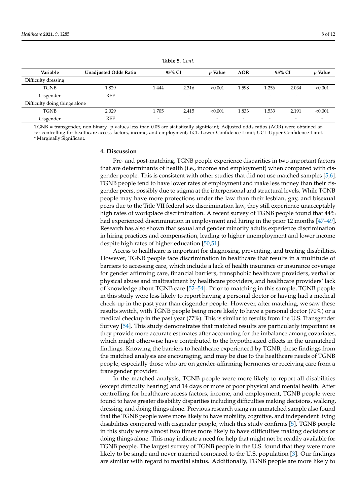<span id="page-8-0"></span>

| Variable                      | <b>Unadjusted Odds Ratio</b> |                          | 95% CI                   | <i>v</i> Value           | <b>AOR</b>               |                          | 95% CI                   | p Value                  |
|-------------------------------|------------------------------|--------------------------|--------------------------|--------------------------|--------------------------|--------------------------|--------------------------|--------------------------|
| Difficulty dressing           |                              |                          |                          |                          |                          |                          |                          |                          |
| <b>TGNB</b>                   | 1.829                        | .444                     | 2.316                    | < 0.001                  | 1.598                    | 1.256                    | 2.034                    | < 0.001                  |
| Cisgender                     | <b>REF</b>                   | $\overline{\phantom{a}}$ | $\overline{\phantom{0}}$ | $\overline{\phantom{a}}$ | $\overline{\phantom{0}}$ | $\overline{\phantom{0}}$ | $\overline{\phantom{0}}$ | $\overline{\phantom{0}}$ |
| Difficulty doing things alone |                              |                          |                          |                          |                          |                          |                          |                          |
| <b>TGNB</b>                   | 2.029                        | 1.705                    | 2.415                    | < 0.001                  | 1.833                    | 1.533                    | 2.191                    | < 0.001                  |
| Cisgender                     | <b>REF</b>                   | $\overline{\phantom{0}}$ | $\overline{\phantom{0}}$ | $\overline{\phantom{0}}$ | $\overline{\phantom{0}}$ | $\overline{\phantom{0}}$ | $\overline{\phantom{0}}$ | $\overline{\phantom{0}}$ |

**Table 5.** *Cont.*

TGNB = transgender, non-binary. *p* values less than 0.05 are statistically significant; Adjusted odds ratios (AOR) were obtained after controlling for healthcare access factors, income, and employment; LCL-Lower Confidence Limit; UCL-Upper Confidence Limit.

\* Marginally Significant.

#### **4. Discussion**

Pre- and post-matching, TGNB people experience disparities in two important factors that are determinants of health (i.e., income and employment) when compared with cisgender people. This is consistent with other studies that did not use matched samples [\[5](#page-10-4)[,6\]](#page-10-5). TGNB people tend to have lower rates of employment and make less money than their cisgender peers, possibly due to stigma at the interpersonal and structural levels. While TGNB people may have more protections under the law than their lesbian, gay, and bisexual peers due to the Title VII federal sex discrimination law, they still experience unacceptably high rates of workplace discrimination. A recent survey of TGNB people found that 44% had experienced discrimination in employment and hiring in the prior 12 months [\[47](#page-12-8)[–49\]](#page-12-9). Research has also shown that sexual and gender minority adults experience discrimination in hiring practices and compensation, leading to higher unemployment and lower income despite high rates of higher education [\[50](#page-12-10)[,51\]](#page-12-11).

Access to healthcare is important for diagnosing, preventing, and treating disabilities. However, TGNB people face discrimination in healthcare that results in a multitude of barriers to accessing care, which include a lack of health insurance or insurance coverage for gender affirming care, financial barriers, transphobic healthcare providers, verbal or physical abuse and maltreatment by healthcare providers, and healthcare providers' lack of knowledge about TGNB care [\[52–](#page-12-12)[54\]](#page-12-13). Prior to matching in this sample, TGNB people in this study were less likely to report having a personal doctor or having had a medical check-up in the past year than cisgender people. However, after matching, we saw these results switch, with TGNB people being more likely to have a personal doctor (70%) or a medical checkup in the past year (77%). This is similar to results from the U.S. Transgender Survey [\[54\]](#page-12-13). This study demonstrates that matched results are particularly important as they provide more accurate estimates after accounting for the imbalance among covariates, which might otherwise have contributed to the hypothesized effects in the unmatched findings. Knowing the barriers to healthcare experienced by TGNB, these findings from the matched analysis are encouraging, and may be due to the healthcare needs of TGNB people, especially those who are on gender-affirming hormones or receiving care from a transgender provider.

In the matched analysis, TGNB people were more likely to report all disabilities (except difficulty hearing) and 14 days or more of poor physical and mental health. After controlling for healthcare access factors, income, and employment, TGNB people were found to have greater disability disparities including difficulties making decisions, walking, dressing, and doing things alone. Previous research using an unmatched sample also found that the TGNB people were more likely to have mobility, cognitive, and independent living disabilities compared with cisgender people, which this study confirms [\[5\]](#page-10-4). TGNB people in this study were almost two times more likely to have difficulties making decisions or doing things alone. This may indicate a need for help that might not be readily available for TGNB people. The largest survey of TGNB people in the U.S. found that they were more likely to be single and never married compared to the U.S. population [\[3\]](#page-10-2). Our findings are similar with regard to marital status. Additionally, TGNB people are more likely to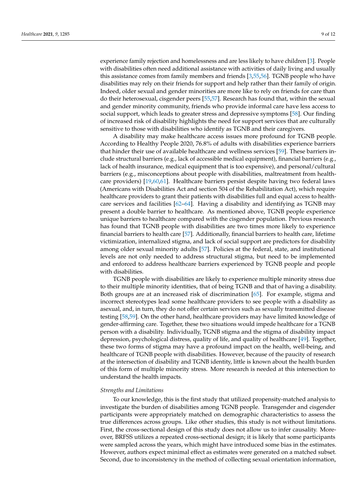experience family rejection and homelessness and are less likely to have children [\[3\]](#page-10-2). People with disabilities often need additional assistance with activities of daily living and usually this assistance comes from family members and friends [\[3,](#page-10-2)[55](#page-12-14)[,56\]](#page-12-15). TGNB people who have disabilities may rely on their friends for support and help rather than their family of origin. Indeed, older sexual and gender minorities are more like to rely on friends for care than do their heterosexual, cisgender peers [\[55](#page-12-14)[,57\]](#page-12-16). Research has found that, within the sexual and gender minority community, friends who provide informal care have less access to social support, which leads to greater stress and depressive symptoms [\[58\]](#page-12-17). Our finding of increased risk of disability highlights the need for support services that are culturally sensitive to those with disabilities who identify as TGNB and their caregivers.

A disability may make healthcare access issues more profound for TGNB people. According to Healthy People 2020, 76.8% of adults with disabilities experience barriers that hinder their use of available healthcare and wellness services [\[59\]](#page-12-18). These barriers include structural barriers (e.g., lack of accessible medical equipment), financial barriers (e.g., lack of health insurance, medical equipment that is too expensive), and personal/cultural barriers (e.g., misconceptions about people with disabilities, maltreatment from healthcare providers) [\[19,](#page-11-7)[60,](#page-12-19)[61\]](#page-12-20). Healthcare barriers persist despite having two federal laws (Americans with Disabilities Act and section 504 of the Rehabilitation Act), which require healthcare providers to grant their patients with disabilities full and equal access to healthcare services and facilities [\[62–](#page-12-21)[64\]](#page-12-22). Having a disability and identifying as TGNB may present a double barrier to healthcare. As mentioned above, TGNB people experience unique barriers to healthcare compared with the cisgender population. Previous research has found that TGNB people with disabilities are two times more likely to experience financial barriers to health care [\[57\]](#page-12-16). Additionally, financial barriers to health care, lifetime victimization, internalized stigma, and lack of social support are predictors for disability among older sexual minority adults [\[57\]](#page-12-16). Policies at the federal, state, and institutional levels are not only needed to address structural stigma, but need to be implemented and enforced to address healthcare barriers experienced by TGNB people and people with disabilities.

TGNB people with disabilities are likely to experience multiple minority stress due to their multiple minority identities, that of being TGNB and that of having a disability. Both groups are at an increased risk of discrimination [\[65\]](#page-12-23). For example, stigma and incorrect stereotypes lead some healthcare providers to see people with a disability as asexual, and, in turn, they do not offer certain services such as sexually transmitted disease testing [\[58](#page-12-17)[,59\]](#page-12-18). On the other hand, healthcare providers may have limited knowledge of gender-affirming care. Together, these two situations would impede healthcare for a TGNB person with a disability. Individually, TGNB stigma and the stigma of disability impact depression, psychological distress, quality of life, and quality of healthcare [\[49\]](#page-12-9). Together, these two forms of stigma may have a profound impact on the health, well-being, and healthcare of TGNB people with disabilities. However, because of the paucity of research at the intersection of disability and TGNB identity, little is known about the health burden of this form of multiple minority stress. More research is needed at this intersection to understand the health impacts.

#### *Strengths and Limitations*

To our knowledge, this is the first study that utilized propensity-matched analysis to investigate the burden of disabilities among TGNB people. Transgender and cisgender participants were appropriately matched on demographic characteristics to assess the true differences across groups. Like other studies, this study is not without limitations. First, the cross-sectional design of this study does not allow us to infer causality. Moreover, BRFSS utilizes a repeated cross-sectional design; it is likely that some participants were sampled across the years, which might have introduced some bias in the estimates. However, authors expect minimal effect as estimates were generated on a matched subset. Second, due to inconsistency in the method of collecting sexual orientation information,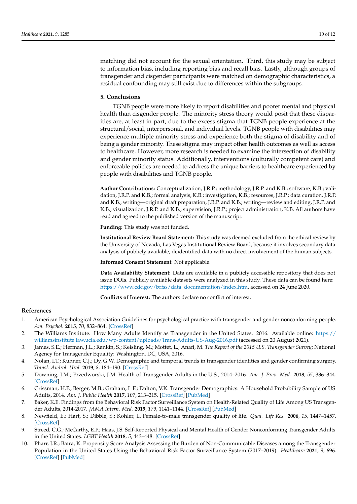matching did not account for the sexual orientation. Third, this study may be subject to information bias, including reporting bias and recall bias. Lastly, although groups of transgender and cisgender participants were matched on demographic characteristics, a residual confounding may still exist due to differences within the subgroups.

#### **5. Conclusions**

TGNB people were more likely to report disabilities and poorer mental and physical health than cisgender people. The minority stress theory would posit that these disparities are, at least in part, due to the excess stigma that TGNB people experience at the structural/social, interpersonal, and individual levels. TGNB people with disabilities may experience multiple minority stress and experience both the stigma of disability and of being a gender minority. These stigma may impact other health outcomes as well as access to healthcare. However, more research is needed to examine the intersection of disability and gender minority status. Additionally, interventions (culturally competent care) and enforceable policies are needed to address the unique barriers to healthcare experienced by people with disabilities and TGNB people.

**Author Contributions:** Conceptualization, J.R.P.; methodology, J.R.P. and K.B.; software, K.B.; validation, J.R.P. and K.B.; formal analysis, K.B.; investigation, K.B.; resources, J.R.P.; data curation, J.R.P. and K.B.; writing—original draft preparation, J.R.P. and K.B.; writing—review and editing, J.R.P. and K.B.; visualization, J.R.P. and K.B.; supervision, J.R.P.; project administration, K.B. All authors have read and agreed to the published version of the manuscript.

**Funding:** This study was not funded.

**Institutional Review Board Statement:** This study was deemed excluded from the ethical review by the University of Nevada, Las Vegas Institutional Review Board, because it involves secondary data analysis of publicly available, deidentified data with no direct involvement of the human subjects.

**Informed Consent Statement:** Not applicable.

**Data Availability Statement:** Data are available in a publicly accessible repository that does not issue DOIs. Publicly available datasets were analyzed in this study. These data can be found here: [https://www.cdc.gov/brfss/data\\_documentation/index.htm,](https://www.cdc.gov/brfss/data_documentation/index.htm) accessed on 24 June 2020.

**Conflicts of Interest:** The authors declare no conflict of interest.

#### **References**

- <span id="page-10-0"></span>1. American Psychological Association Guidelines for psychological practice with transgender and gender nonconforming people. *Am. Psychol.* **2015**, *70*, 832–864. [\[CrossRef\]](http://doi.org/10.1037/a0039906)
- <span id="page-10-1"></span>2. The Williams Institute. How Many Adults Identify as Transgender in the United States. 2016. Available online: [https://](https://williamsinstitute.law.ucla.edu/wp-content/uploads/Trans-Adults-US-Aug-2016.pdf) [williamsinstitute.law.ucla.edu/wp-content/uploads/Trans-Adults-US-Aug-2016.pdf](https://williamsinstitute.law.ucla.edu/wp-content/uploads/Trans-Adults-US-Aug-2016.pdf) (accessed on 20 August 2021).
- <span id="page-10-2"></span>3. James, S.E.; Herman, J.L.; Rankin, S.; Keisling, M.; Mottet, L.; Anafi, M. *The Report of the 2015 U.S. Transgender Survey*; National Agency for Transgender Equality: Washington, DC, USA, 2016.
- 4. Nolan, I.T.; Kuhner, C.J.; Dy, G.W. Demographic and temporal trends in transgender identities and gender confirming surgery. *Transl. Androl. Urol.* **2019**, *8*, 184–190. [\[CrossRef\]](http://doi.org/10.21037/tau.2019.04.09)
- <span id="page-10-4"></span>5. Downing, J.M.; Przedworski, J.M. Health of Transgender Adults in the U.S., 2014–2016. *Am. J. Prev. Med.* **2018**, *55*, 336–344. [\[CrossRef\]](http://doi.org/10.1016/j.amepre.2018.04.045)
- <span id="page-10-5"></span>6. Crissman, H.P.; Berger, M.B.; Graham, L.F.; Dalton, V.K. Transgender Demographics: A Household Probability Sample of US Adults, 2014. *Am. J. Public Health* **2017**, *107*, 213–215. [\[CrossRef\]](http://doi.org/10.2105/AJPH.2016.303571) [\[PubMed\]](http://www.ncbi.nlm.nih.gov/pubmed/27997239)
- 7. Baker, K.E. Findings from the Behavioral Risk Factor Surveillance System on Health-Related Quality of Life Among US Transgender Adults, 2014-2017. *JAMA Intern. Med.* **2019**, *179*, 1141–1144. [\[CrossRef\]](http://doi.org/10.1001/jamainternmed.2018.7931) [\[PubMed\]](http://www.ncbi.nlm.nih.gov/pubmed/31009042)
- 8. Newfield, E.; Hart, S.; Dibble, S.; Kohler, L. Female-to-male transgender quality of life. *Qual. Life Res.* **2006**, *15*, 1447–1457. [\[CrossRef\]](http://doi.org/10.1007/s11136-006-0002-3)
- 9. Streed, C.G.; McCarthy, E.P.; Haas, J.S. Self-Reported Physical and Mental Health of Gender Nonconforming Transgender Adults in the United States. *LGBT Health* **2018**, *5*, 443–448. [\[CrossRef\]](http://doi.org/10.1089/lgbt.2017.0275)
- <span id="page-10-3"></span>10. Pharr, J.R.; Batra, K. Propensity Score Analysis Assessing the Burden of Non-Communicable Diseases among the Transgender Population in the United States Using the Behavioral Risk Factor Surveillance System (2017–2019). *Healthcare* **2021**, *9*, 696. [\[CrossRef\]](http://doi.org/10.3390/healthcare9060696) [\[PubMed\]](http://www.ncbi.nlm.nih.gov/pubmed/34207713)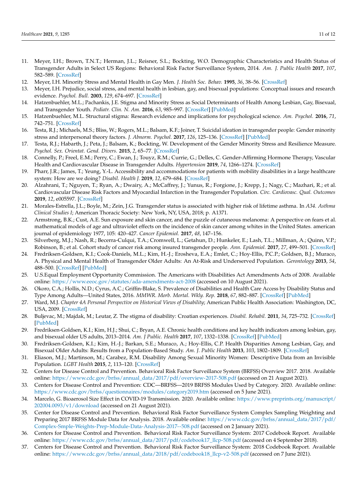- <span id="page-11-0"></span>11. Meyer, I.H.; Brown, T.N.T.; Herman, J.L.; Reisner, S.L.; Bockting, W.O. Demographic Characteristics and Health Status of Transgender Adults in Select US Regions: Behavioral Risk Factor Surveillance System, 2014. *Am. J. Public Health* **2017**, *107*, 582–589. [\[CrossRef\]](http://doi.org/10.2105/AJPH.2016.303648)
- <span id="page-11-1"></span>12. Meyer, I.H. Minority Stress and Mental Health in Gay Men. *J. Health Soc. Behav.* **1995**, *36*, 38–56. [\[CrossRef\]](http://doi.org/10.2307/2137286)
- 13. Meyer, I.H. Prejudice, social stress, and mental health in lesbian, gay, and bisexual populations: Conceptual issues and research evidence. *Psychol. Bull.* **2003**, *129*, 674–697. [\[CrossRef\]](http://doi.org/10.1037/0033-2909.129.5.674)
- <span id="page-11-3"></span>14. Hatzenbuehler, M.L.; Pachankis, J.E. Stigma and Minority Stress as Social Determinants of Health Among Lesbian, Gay, Bisexual, and Transgender Youth. *Pediatr. Clin. N. Am.* **2016**, *63*, 985–997. [\[CrossRef\]](http://doi.org/10.1016/j.pcl.2016.07.003) [\[PubMed\]](http://www.ncbi.nlm.nih.gov/pubmed/27865340)
- <span id="page-11-2"></span>15. Hatzenbuehler, M.L. Structural stigma: Research evidence and implications for psychological science. *Am. Psychol.* **2016**, *71*, 742–751. [\[CrossRef\]](http://doi.org/10.1037/amp0000068)
- <span id="page-11-5"></span>16. Testa, R.J.; Michaels, M.S.; Bliss, W.; Rogers, M.L.; Balsam, K.F.; Joiner, T. Suicidal ideation in transgender people: Gender minority stress and interpersonal theory factors. *J. Abnorm. Psychol.* **2017**, *126*, 125–136. [\[CrossRef\]](http://doi.org/10.1037/abn0000234) [\[PubMed\]](http://www.ncbi.nlm.nih.gov/pubmed/27831708)
- <span id="page-11-4"></span>17. Testa, R.J.; Habarth, J.; Peta, J.; Balsam, K.; Bockting, W. Development of the Gender Minority Stress and Resilience Measure. *Psychol. Sex. Orientat. Gend. Divers.* **2015**, *2*, 65–77. [\[CrossRef\]](http://doi.org/10.1037/sgd0000081)
- <span id="page-11-6"></span>18. Connelly, P.; Freel, E.M.; Perry, C.; Ewan, J.; Touyz, R.M.; Currie, G.; Delles, C. Gender-Affirming Hormone Therapy, Vascular Health and Cardiovascular Disease in Transgender Adults. *Hypertension* **2019**, *74*, 1266–1274. [\[CrossRef\]](http://doi.org/10.1161/HYPERTENSIONAHA.119.13080)
- <span id="page-11-7"></span>19. Pharr, J.R.; James, T.; Yeung, Y.-L. Accessibility and accommodations for patients with mobility disabilities in a large healthcare system: How are we doing? *Disabil. Health J.* **2019**, *12*, 679–684. [\[CrossRef\]](http://doi.org/10.1016/j.dhjo.2019.03.008)
- 20. Alzahrani, T.; Nguyen, T.; Ryan, A.; Dwairy, A.; McCaffrey, J.; Yunus, R.; Forgione, J.; Krepp, J.; Nagy, C.; Mazhari, R.; et al. Cardiovascular Disease Risk Factors and Myocardial Infarction in the Transgender Population. *Circ. Cardiovasc. Qual. Outcomes* **2019**, *12*, e005597. [\[CrossRef\]](http://doi.org/10.1161/CIRCOUTCOMES.119.005597)
- 21. Morales-Estrella, J.L.; Boyle, M.; Zein, J.G. Transgender status is associated with higher risk of lifetime asthma. In *A34. Asthma Clinical Studies I*; American Thoracic Society: New York, NY, USA, 2018; p. A1371.
- 22. Armstrong, B.K.; Cust, A.E. Sun exposure and skin cancer, and the puzzle of cutaneous melanoma: A perspective on fears et al. mathematical models of age and ultraviolet effects on the incidence of skin cancer among whites in the United States. american journal of epidemiology 1977, 105: 420–427. *Cancer Epidemiol.* **2017**, *48*, 147–156.
- 23. Silverberg, M.J.; Nash, R.; Becerra-Culqui, T.A.; Cromwell, L.; Getahun, D.; Hunkeler, E.; Lash, T.L.; Millman, A.; Quinn, V.P.; Robinson, B.; et al. Cohort study of cancer risk among insured transgender people. *Ann. Epidemiol.* **2017**, *27*, 499–501. [\[CrossRef\]](http://doi.org/10.1016/j.annepidem.2017.07.007)
- <span id="page-11-8"></span>24. Fredriksen-Goldsen, K.I.; Cook-Daniels, M.L.; Kim, H.-J.; Erosheva, E.A.; Emlet, C.; Hoy-Ellis, P.C.P.; Goldsen, B.J.; Muraco, A. Physical and Mental Health of Transgender Older Adults: An At-Risk and Underserved Population. *Gerontology* **2013**, *54*, 488–500. [\[CrossRef\]](http://doi.org/10.1093/geront/gnt021) [\[PubMed\]](http://www.ncbi.nlm.nih.gov/pubmed/23535500)
- <span id="page-11-9"></span>25. U.S.Equal Employment Opportunity Commission. The Americans with Disabilities Act Amendments Acts of 2008. Available online: <https://www.eeoc.gov/statutes/ada-amendments-act-2008> (accessed on 10 August 2021).
- <span id="page-11-10"></span>26. Okoro, C.A.; Hollis, N.D.; Cyrus, A.C.; Griffin-Blake, S. Prevalence of Disabilities and Health Care Access by Disability Status and Type Among Adults—United States, 2016. *MMWR. Morb. Mortal. Wkly. Rep.* **2018**, *67*, 882–887. [\[CrossRef\]](http://doi.org/10.15585/mmwr.mm6732a3) [\[PubMed\]](http://www.ncbi.nlm.nih.gov/pubmed/30114005)
- <span id="page-11-11"></span>27. Ward, M.J. *Chapter 4A Personal Perspective on Historical Views of Disability*; American Public Health Association: Washington, DC, USA, 2009. [\[CrossRef\]](http://doi.org/10.2105/9780875531915ch04)
- <span id="page-11-12"></span>28. Buljevac, M.; Majdak, M.; Leutar, Z. The stigma of disability: Croatian experiences. *Disabil. Rehabil.* **2011**, *34*, 725–732. [\[CrossRef\]](http://doi.org/10.3109/09638288.2011.616570) [\[PubMed\]](http://www.ncbi.nlm.nih.gov/pubmed/21992508)
- <span id="page-11-13"></span>29. Fredriksen-Goldsen, K.I.; Kim, H.J.; Shui, C.; Bryan, A.E. Chronic health conditions and key health indicators among lesbian, gay, and bisexual older US adults, 2013–2014. *Am. J Public. Health* **2017**, *107*, 1332–1338. [\[CrossRef\]](http://doi.org/10.2105/AJPH.2017.303922) [\[PubMed\]](http://www.ncbi.nlm.nih.gov/pubmed/28700299)
- 30. Fredriksen-Goldsen, K.I.; Kim, H.-J.; Barkan, S.E.; Muraco, A.; Hoy-Ellis, C.P. Health Disparities Among Lesbian, Gay, and Bisexual Older Adults: Results from a Population-Based Study. *Am. J. Public Health* **2013**, *103*, 1802–1809. [\[CrossRef\]](http://doi.org/10.2105/AJPH.2012.301110)
- <span id="page-11-14"></span>31. Eliason, M.J.; Martinson, M.; Carabez, R.M. Disability Among Sexual Minority Women: Descriptive Data from an Invisible Population. *LGBT Health* **2015**, *2*, 113–120. [\[CrossRef\]](http://doi.org/10.1089/lgbt.2014.0091)
- <span id="page-11-15"></span>32. Centers for Disease Control and Prevention. Behavioral Risk Factor Surveillance System (BRFSS) Overview 2017. 2018. Available online: [https://www.cdc.gov/brfss/annual\\_data/2017/pdf/overview-2017-508.pdf](https://www.cdc.gov/brfss/annual_data/2017/pdf/overview-2017-508.pdf) (accessed on 21 August 2021).
- <span id="page-11-17"></span>33. Centers for Disease Control and Prevention: CDC—BRFSS—2019 BRFSS Modules Used by Category. 2020. Available online: <https://www.cdc.gov/brfss/questionnaires/modules/category2019.htm> (accessed on 5 June 2021).
- <span id="page-11-16"></span>34. Marcelo, G. Bioaerosol Size Effect in COVID-19 Transmission. 2020. Available online: [https://www.preprints.org/manuscript/](https://www.preprints.org/manuscript/202004.0093/v1/download) [202004.0093/v1/download](https://www.preprints.org/manuscript/202004.0093/v1/download) (accessed on 21 August 2021).
- <span id="page-11-18"></span>35. Center for Disease Control and Prevention. Behavioral Risk Factor Surveillance System Complex Sampling Weighting and Preparing 2017 BRFSS Module Data for Analysis. 2018. Available online: [https://www.cdc.gov/brfss/annual\\_data/2017/pdf/](https://www.cdc.gov/brfss/annual_data/2017/pdf/Complex-Smple-Weights-Prep-Module-Data-Analysis-2017--508.pdf) [Complex-Smple-Weights-Prep-Module-Data-Analysis-2017--508.pdf](https://www.cdc.gov/brfss/annual_data/2017/pdf/Complex-Smple-Weights-Prep-Module-Data-Analysis-2017--508.pdf) (accessed on 2 January 2021).
- <span id="page-11-19"></span>36. Centers for Disease Control and Prevention. Behavioral Risk Factor Surveillance System: 2017 Codebook Report. Available online: [https://www.cdc.gov/brfss/annual\\_data/2017/pdf/codebook17\\_llcp-508.pdf](https://www.cdc.gov/brfss/annual_data/2017/pdf/codebook17_llcp-508.pdf) (accessed on 4 September 2018).
- 37. Centers for Disease Control and Prevention. Behavioral Risk Factor Surveillance System: 2018 Codebook Report. Available online: [https://www.cdc.gov/brfss/annual\\_data/2018/pdf/codebook18\\_llcp-v2-508.pdf](https://www.cdc.gov/brfss/annual_data/2018/pdf/codebook18_llcp-v2-508.pdf) (accessed on 7 June 2021).